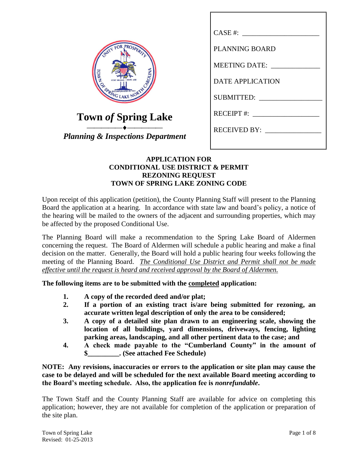|                                              | $CASE #: __________$     |
|----------------------------------------------|--------------------------|
| ROSPERT                                      | <b>PLANNING BOARD</b>    |
|                                              | <b>MEETING DATE:</b>     |
| ROLINA                                       | <b>DATE APPLICATION</b>  |
| CORPORATED IN 1951<br>GLAKE                  | SUBMITTED:               |
| Town of Spring Lake                          | RECEIPT #: $\frac{1}{2}$ |
| <b>Planning &amp; Inspections Department</b> | RECEIVED BY:             |
|                                              |                          |

# **APPLICATION FOR CONDITIONAL USE DISTRICT & PERMIT REZONING REQUEST TOWN OF SPRING LAKE ZONING CODE**

Upon receipt of this application (petition), the County Planning Staff will present to the Planning Board the application at a hearing. In accordance with state law and board's policy, a notice of the hearing will be mailed to the owners of the adjacent and surrounding properties, which may be affected by the proposed Conditional Use.

The Planning Board will make a recommendation to the Spring Lake Board of Aldermen concerning the request. The Board of Aldermen will schedule a public hearing and make a final decision on the matter. Generally, the Board will hold a public hearing four weeks following the meeting of the Planning Board. *The Conditional Use District and Permit shall not be made effective until the request is heard and received approval by the Board of Aldermen.*

**The following items are to be submitted with the completed application:**

- **1. A copy of the recorded deed and/or plat;**
- **2. If a portion of an existing tract is/are being submitted for rezoning, an accurate written legal description of only the area to be considered;**
- **3. A copy of a detailed site plan drawn to an engineering scale, showing the location of all buildings, yard dimensions, driveways, fencing, lighting parking areas, landscaping, and all other pertinent data to the case; and**
- **4. A check made payable to the "Cumberland County" in the amount of \$\_\_\_\_\_\_\_\_\_. (See attached Fee Schedule)**

**NOTE: Any revisions, inaccuracies or errors to the application or site plan may cause the case to be delayed and will be scheduled for the next available Board meeting according to the Board's meeting schedule. Also, the application fee is** *nonrefundable***.**

The Town Staff and the County Planning Staff are available for advice on completing this application; however, they are not available for completion of the application or preparation of the site plan.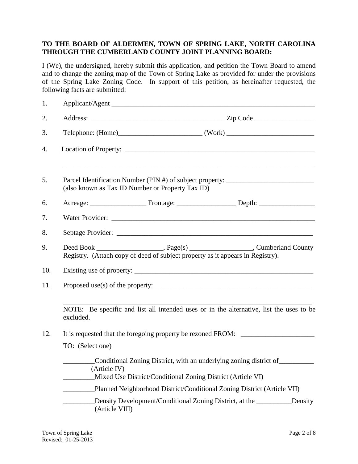# **TO THE BOARD OF ALDERMEN, TOWN OF SPRING LAKE, NORTH CAROLINA THROUGH THE CUMBERLAND COUNTY JOINT PLANNING BOARD:**

I (We), the undersigned, hereby submit this application, and petition the Town Board to amend and to change the zoning map of the Town of Spring Lake as provided for under the provisions of the Spring Lake Zoning Code. In support of this petition, as hereinafter requested, the following facts are submitted:

| 1.  |                                                                                   | Applicant/Agent                                                                                                                        |  |         |  |
|-----|-----------------------------------------------------------------------------------|----------------------------------------------------------------------------------------------------------------------------------------|--|---------|--|
| 2.  |                                                                                   |                                                                                                                                        |  |         |  |
| 3.  |                                                                                   |                                                                                                                                        |  |         |  |
| 4.  |                                                                                   |                                                                                                                                        |  |         |  |
| 5.  |                                                                                   | Parcel Identification Number (PIN #) of subject property: ______________________<br>(also known as Tax ID Number or Property Tax ID)   |  |         |  |
| 6.  |                                                                                   |                                                                                                                                        |  |         |  |
| 7.  |                                                                                   |                                                                                                                                        |  |         |  |
| 8.  |                                                                                   |                                                                                                                                        |  |         |  |
| 9.  |                                                                                   | Registry. (Attach copy of deed of subject property as it appears in Registry).                                                         |  |         |  |
| 10. |                                                                                   |                                                                                                                                        |  |         |  |
| 11. |                                                                                   |                                                                                                                                        |  |         |  |
|     | excluded.                                                                         | NOTE: Be specific and list all intended uses or in the alternative, list the uses to be                                                |  |         |  |
| 12. | It is requested that the foregoing property be rezoned FROM: ____________________ |                                                                                                                                        |  |         |  |
|     | TO: (Select one)                                                                  |                                                                                                                                        |  |         |  |
|     | (Article IV)                                                                      | _____Conditional Zoning District, with an underlying zoning district of<br>Mixed Use District/Conditional Zoning District (Article VI) |  |         |  |
|     |                                                                                   | Planned Neighborhood District/Conditional Zoning District (Article VII)                                                                |  |         |  |
|     | (Article VIII)                                                                    | Density Development/Conditional Zoning District, at the _________                                                                      |  | Density |  |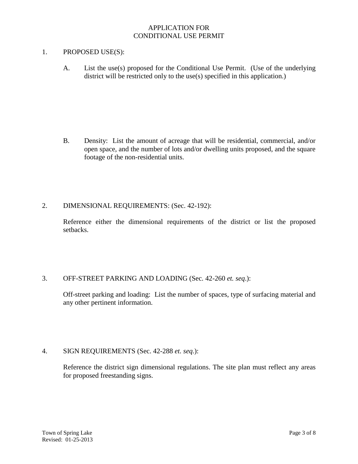# APPLICATION FOR CONDITIONAL USE PERMIT

## 1. PROPOSED USE(S):

A. List the use(s) proposed for the Conditional Use Permit. (Use of the underlying district will be restricted only to the use(s) specified in this application.)

B. Density: List the amount of acreage that will be residential, commercial, and/or open space, and the number of lots and/or dwelling units proposed, and the square footage of the non-residential units.

#### 2. DIMENSIONAL REQUIREMENTS: (Sec. 42-192):

Reference either the dimensional requirements of the district or list the proposed setbacks.

# 3. OFF-STREET PARKING AND LOADING (Sec. 42-260 *et. seq*.):

Off-street parking and loading: List the number of spaces, type of surfacing material and any other pertinent information.

# 4. SIGN REQUIREMENTS (Sec. 42-288 *et. seq*.):

Reference the district sign dimensional regulations. The site plan must reflect any areas for proposed freestanding signs.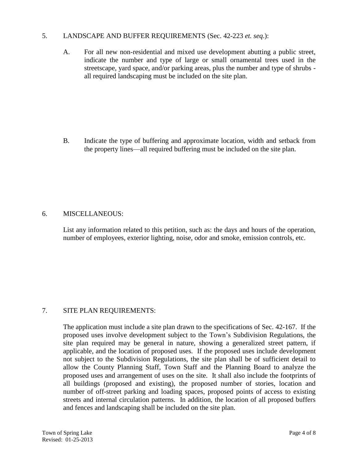# 5. LANDSCAPE AND BUFFER REQUIREMENTS (Sec. 42-223 *et. seq*.):

A. For all new non-residential and mixed use development abutting a public street, indicate the number and type of large or small ornamental trees used in the streetscape, yard space, and/or parking areas, plus the number and type of shrubs all required landscaping must be included on the site plan.

B. Indicate the type of buffering and approximate location, width and setback from the property lines—all required buffering must be included on the site plan.

#### 6. MISCELLANEOUS:

List any information related to this petition, such as: the days and hours of the operation, number of employees, exterior lighting, noise, odor and smoke, emission controls, etc.

# 7. SITE PLAN REQUIREMENTS:

The application must include a site plan drawn to the specifications of Sec. 42-167. If the proposed uses involve development subject to the Town's Subdivision Regulations, the site plan required may be general in nature, showing a generalized street pattern, if applicable, and the location of proposed uses. If the proposed uses include development not subject to the Subdivision Regulations, the site plan shall be of sufficient detail to allow the County Planning Staff, Town Staff and the Planning Board to analyze the proposed uses and arrangement of uses on the site. It shall also include the footprints of all buildings (proposed and existing), the proposed number of stories, location and number of off-street parking and loading spaces, proposed points of access to existing streets and internal circulation patterns. In addition, the location of all proposed buffers and fences and landscaping shall be included on the site plan.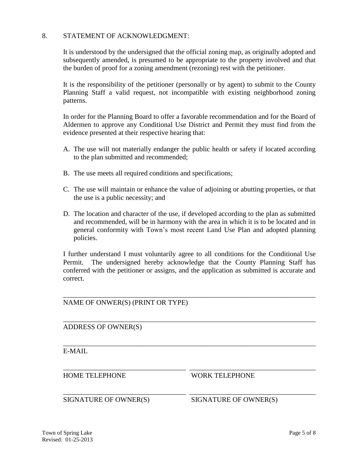## 8. STATEMENT OF ACKNOWLEDGMENT:

It is understood by the undersigned that the official zoning map, as originally adopted and subsequently amended, is presumed to be appropriate to the property involved and that the burden of proof for a zoning amendment (rezoning) rest with the petitioner.

It is the responsibility of the petitioner (personally or by agent) to submit to the County Planning Staff a valid request, not incompatible with existing neighborhood zoning patterns.

In order for the Planning Board to offer a favorable recommendation and for the Board of Aldermen to approve any Conditional Use District and Permit they must find from the evidence presented at their respective hearing that:

- A. The use will not materially endanger the public health or safety if located according to the plan submitted and recommended;
- B. The use meets all required conditions and specifications;
- C. The use will maintain or enhance the value of adjoining or abutting properties, or that the use is a public necessity; and
- D. The location and character of the use, if developed according to the plan as submitted and recommended, will be in harmony with the area in which it is to be located and in general conformity with Town's most recent Land Use Plan and adopted planning policies.

I further understand I must voluntarily agree to all conditions for the Conditional Use Permit. The undersigned hereby acknowledge that the County Planning Staff has conferred with the petitioner or assigns, and the application as submitted is accurate and correct.

\_\_\_\_\_\_\_\_\_\_\_\_\_\_\_\_\_\_\_\_\_\_\_\_\_\_\_\_\_\_\_\_\_\_\_\_\_\_\_\_\_\_\_\_\_\_\_\_\_\_\_\_\_\_\_\_\_\_\_\_\_\_\_\_\_\_\_\_\_\_\_\_

\_\_\_\_\_\_\_\_\_\_\_\_\_\_\_\_\_\_\_\_\_\_\_\_\_\_\_\_\_\_\_\_\_\_\_\_\_\_\_\_\_\_\_\_\_\_\_\_\_\_\_\_\_\_\_\_\_\_\_\_\_\_\_\_\_\_\_\_\_\_\_\_

\_\_\_\_\_\_\_\_\_\_\_\_\_\_\_\_\_\_\_\_\_\_\_\_\_\_\_\_\_\_\_\_\_\_\_\_\_\_\_\_\_\_\_\_\_\_\_\_\_\_\_\_\_\_\_\_\_\_\_\_\_\_\_\_\_\_\_\_\_\_\_\_

\_\_\_\_\_\_\_\_\_\_\_\_\_\_\_\_\_\_\_\_\_\_\_\_\_\_\_\_\_\_\_\_\_\_\_ \_\_\_\_\_\_\_\_\_\_\_\_\_\_\_\_\_\_\_\_\_\_\_\_\_\_\_\_\_\_\_\_\_\_\_\_

\_\_\_\_\_\_\_\_\_\_\_\_\_\_\_\_\_\_\_\_\_\_\_\_\_\_\_\_\_\_\_\_\_\_\_ \_\_\_\_\_\_\_\_\_\_\_\_\_\_\_\_\_\_\_\_\_\_\_\_\_\_\_\_\_\_\_\_\_\_\_\_

NAME OF ONWER(S) (PRINT OR TYPE)

ADDRESS OF OWNER(S)

E-MAIL

HOME TELEPHONE WORK TELEPHONE

SIGNATURE OF OWNER(S) SIGNATURE OF OWNER(S)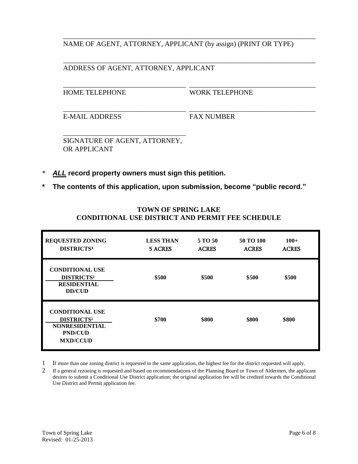NAME OF AGENT, ATTORNEY, APPLICANT (by assign) (PRINT OR TYPE)

\_\_\_\_\_\_\_\_\_\_\_\_\_\_\_\_\_\_\_\_\_\_\_\_\_\_\_\_\_\_\_\_\_\_\_\_\_\_\_\_\_\_\_\_\_\_\_\_\_\_\_\_\_\_\_\_\_\_\_\_\_\_\_\_\_\_\_\_\_\_\_\_

\_\_\_\_\_\_\_\_\_\_\_\_\_\_\_\_\_\_\_\_\_\_\_\_\_\_\_\_\_\_\_\_\_\_\_ \_\_\_\_\_\_\_\_\_\_\_\_\_\_\_\_\_\_\_\_\_\_\_\_\_\_\_\_\_\_\_\_\_\_\_\_

\_\_\_\_\_\_\_\_\_\_\_\_\_\_\_\_\_\_\_\_\_\_\_\_\_\_\_\_\_\_\_\_\_\_\_ \_\_\_\_\_\_\_\_\_\_\_\_\_\_\_\_\_\_\_\_\_\_\_\_\_\_\_\_\_\_\_\_\_\_\_\_

## \_\_\_\_\_\_\_\_\_\_\_\_\_\_\_\_\_\_\_\_\_\_\_\_\_\_\_\_\_\_\_\_\_\_\_\_\_\_\_\_\_\_\_\_\_\_\_\_\_\_\_\_\_\_\_\_\_\_\_\_\_\_\_\_\_\_\_\_\_\_\_\_ ADDRESS OF AGENT, ATTORNEY, APPLICANT

HOME TELEPHONE WORK TELEPHONE

E-MAIL ADDRESS FAX NUMBER

\_\_\_\_\_\_\_\_\_\_\_\_\_\_\_\_\_\_\_\_\_\_\_\_\_\_\_\_\_\_\_\_\_\_\_ SIGNATURE OF AGENT, ATTORNEY, OR APPLICANT

- \* *ALL* **record property owners must sign this petition.**
- **\* The contents of this application, upon submission, become "public record."**

| <b>REQUESTED ZONING</b><br>DISTRICTS <sup>1</sup>                                                         | <b>LESS THAN</b><br><b>5 ACRES</b> | 5 TO 50<br><b>ACRES</b> | 50 TO 100<br><b>ACRES</b> | $100+$<br><b>ACRES</b> |  |
|-----------------------------------------------------------------------------------------------------------|------------------------------------|-------------------------|---------------------------|------------------------|--|
| <b>CONDITIONAL USE</b><br>DISTRICTS <sup>2</sup><br><b>RESIDENTIAL</b><br><b>DD/CUD</b>                   | \$500                              | \$500                   | \$500                     | \$500                  |  |
| <b>CONDITIONAL USE</b><br><b>DISTRICTS2</b><br><b>NONRESIDENTIAL</b><br><b>PND/CUD</b><br><b>MXD/CCUD</b> | \$700                              | \$800                   | \$800                     | \$800                  |  |

# **TOWN OF SPRING LAKE CONDITIONAL USE DISTRICT AND PERMIT FEE SCHEDULE**

1 If more than one zoning district is requested in the same application, the highest fee for the district requested will apply.

2 If a general rezoning is requested and based on recommendations of the Planning Board or Town of Aldermen, the applicant desires to submit a Conditional Use District application; the original application fee will be credited towards the Conditional Use District and Permit application fee.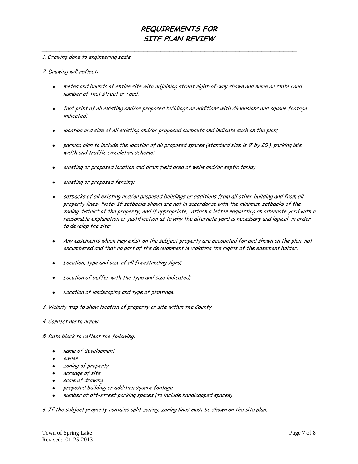**\_\_\_\_\_\_\_\_\_\_\_\_\_\_\_\_\_\_\_\_\_\_\_\_\_\_\_\_\_\_\_\_\_\_\_\_\_\_\_\_\_\_\_\_\_\_\_\_\_\_\_\_\_\_\_\_\_\_**

#### 1. Drawing done to engineering scale

#### 2. Drawing will reflect:

- metes and bounds of entire site with adjoining street right-of-way shown and name or state road number of that street or road;
- foot print of all existing and/or proposed buildings or additions with dimensions and square footage indicated;
- location and size of all existing and/or proposed curbcuts and indicate such on the plan;
- parking plan to include the location of all proposed spaces (standard size is 9' by 20'), parking isle width and traffic circulation scheme;
- existing or proposed location and drain field area of wells and/or septic tanks;
- existing or proposed fencing;
- setbacks of all existing and/or proposed buildings or additions from all other building and from all property lines- Note: If setbacks shown are not in accordance with the minimum setbacks of the zoning district of the property, and if appropriate, attach a letter requesting an alternate yard with a reasonable explanation or justification as to why the alternate yard is necessary and logical in order to develop the site;
- Any easements which may exist on the subject property are accounted for and shown on the plan, not encumbered and that no part of the development is violating the rights of the easement holder;
- Location, type and size of all freestanding signs;  $\bullet$
- Location of buffer with the type and size indicated;
- Location of landscaping and type of plantings.
- 3. Vicinity map to show location of property or site within the County
- 4. Correct north arrow
- 5. Data block to reflect the following:
	- name of development
	- owner
	- zoning of property
	- acreage of site
	- scale of drawing
	- proposed building or addition square footage
	- number of off-street parking spaces (to include handicapped spaces)

6. If the subject property contains split zoning, zoning lines must be shown on the site plan.